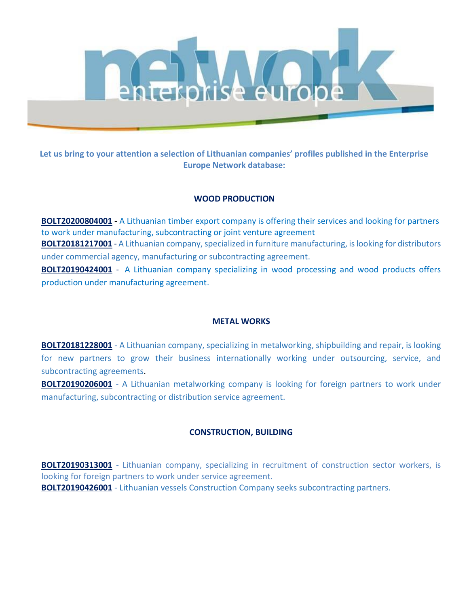

**Let us bring to your attention a selection of Lithuanian companies' profiles published in the Enterprise Europe Network database:**

# **WOOD PRODUCTION**

**[BOLT20200804001](https://een.ec.europa.eu/tools/services/PRO/Profile/Detail/ddab3197-219e-4f04-8518-399f9d5dfa5c) -** A Lithuanian timber export company is offering their services and looking for partners to work under manufacturing, subcontracting or joint venture agreement **[BOLT20181217001](http://een.ec.europa.eu/tools/services/PRO/Profile/Detail/fa0babd8-94cd-4a50-8261-989800b1ebfb?OrgaId=lt00384)** - [A Lithuanian company, specialized in furniture manufacturing, is looking for distributors](https://een.ec.europa.eu/tools/PRO/Profile/Detail/fa0babd8-94cd-4a50-8261-989800b1ebfb)  [under commercial agency, manufacturing or subcontracting agreement.](https://een.ec.europa.eu/tools/PRO/Profile/Detail/fa0babd8-94cd-4a50-8261-989800b1ebfb) **[BOLT20190424001](http://een.ec.europa.eu/tools/services/PRO/Profile/Detail/a86fb8dd-94d2-4aab-92ff-6b9fd8b8d8d0?OrgaId=lt00384)** - [A Lithuanian company specializing in wood processing and wood products offers](https://een.ec.europa.eu/tools/PRO/Profile/Detail/a86fb8dd-94d2-4aab-92ff-6b9fd8b8d8d0) 

[production under manufacturing agreement.](https://een.ec.europa.eu/tools/PRO/Profile/Detail/a86fb8dd-94d2-4aab-92ff-6b9fd8b8d8d0)

# **METAL WORKS**

**[BOLT20181228001](http://een.ec.europa.eu/tools/services/PRO/Profile/Detail/e4e73dab-2541-4c10-9c9d-19a63a1fef52?OrgaId=lt00384)** - A Lithuanian company, specializing in metalworking, shipbuilding and repair, is looking for new partners to grow their business internationally working under outsourcing, service, and subcontracting agreements.

**[BOLT20190206001](http://een.ec.europa.eu/tools/services/PRO/Profile/Detail/89866cf8-dd3f-4438-8359-ab2afe54c703?OrgaId=lt00384)** - A Lithuanian metalworking company is looking for foreign partners to work under manufacturing, subcontracting or distribution service agreement.

# **CONSTRUCTION, BUILDING**

**[BOLT20190313001](http://een.ec.europa.eu/tools/services/PRO/Profile/Detail/dc85e2ab-2ebf-4fb4-97e8-cc3bfa93f8ae?OrgaId=lt00384)** - [Lithuanian company, specializing in recruitment of construction sector workers, is](https://een.ec.europa.eu/tools/PRO/Profile/Detail/dc85e2ab-2ebf-4fb4-97e8-cc3bfa93f8ae)  [looking for foreign partners to work under service agreement.](https://een.ec.europa.eu/tools/PRO/Profile/Detail/dc85e2ab-2ebf-4fb4-97e8-cc3bfa93f8ae) **[BOLT20190426001](http://een.ec.europa.eu/tools/services/PRO/Profile/Detail/532f6b53-57f1-4802-8b04-013681551100?OrgaId=lt00384)** - Lithuanian vessels Construction Company seeks subcontracting partners.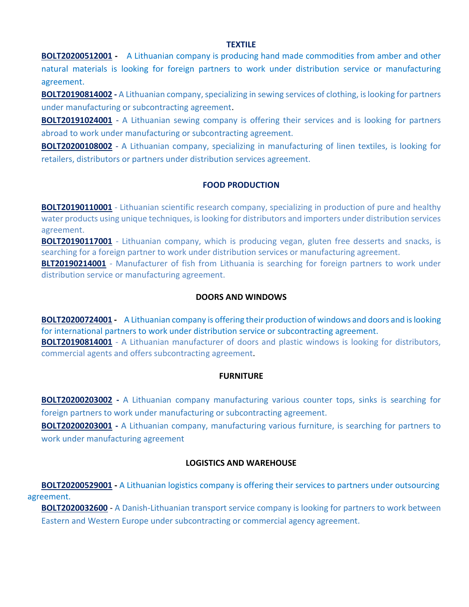#### **TEXTILE**

**[BOLT20200512001](https://een.ec.europa.eu/tools/services/PRO/Profile/Detail/3aa74a3a-88fc-4225-b184-99a80aa107fe) -** A Lithuanian company is producing hand made commodities from amber and other natural materials is looking for foreign partners to work under distribution service or manufacturing agreement.

**[BOLT20190814002](https://een.ec.europa.eu/tools/services/PRO/Profile/Detail/267c8abb-8a28-4d89-bfe8-980b229a0da9) -** A Lithuanian company, specializing in sewing services of clothing, is looking for partners under manufacturing or subcontracting agreement.

**[BOLT20191024001](https://een.ec.europa.eu/tools/services/PRO/Profile/Detail/958f94f4-c207-4215-8124-ced4c6a7095a)** - A Lithuanian sewing company is offering their services and is looking for partners abroad to work under manufacturing or subcontracting agreement.

**[BOLT20200108002](https://een.ec.europa.eu/tools/services/PRO/Profile/Detail/96c6d1e2-5df9-4e25-8ab0-5c08385f006a)** - A Lithuanian company, specializing in manufacturing of linen textiles, is looking for retailers, distributors or partners under distribution services agreement.

# **FOOD PRODUCTION**

**[BOLT20190110001](http://een.ec.europa.eu/tools/services/PRO/Profile/Detail/b4faa263-0f32-4d57-ab87-5e84d2da3514?OrgaId=lt00384)** - Lithuanian scientific research company, specializing in production of pure and healthy water products using unique techniques, is looking for distributors and importers under distribution services agreement.

**[BOLT20190117001](http://een.ec.europa.eu/tools/services/PRO/Profile/Detail/af235b23-c9fd-4a24-befc-f0995a6c05dc?OrgaId=lt00384)** - Lithuanian company, which is producing vegan, gluten free desserts and snacks, is searching for a foreign partner to work under distribution services or manufacturing agreement.

**[BLT20190214001](http://een.ec.europa.eu/tools/services/PRO/Profile/Detail/b3e8a939-7feb-420c-8793-a94e3b0a6c8e?OrgaId=lt00384)** - Manufacturer of fish from Lithuania is searching for foreign partners to work under distribution service or manufacturing agreement.

## **DOORS AND WINDOWS**

**[BOLT20200724001](https://een.ec.europa.eu/tools/services/PRO/Profile/Detail/71813921-630a-42c8-a9f1-86423b6e4794) -** A Lithuanian company is offering their production of windows and doors and is looking for international partners to work under distribution service or subcontracting agreement. **[BOLT20190814001](https://een.ec.europa.eu/tools/services/PRO/Profile/Detail/aa6cf860-b36c-4cff-be34-88704d06d3b6)** - A Lithuanian manufacturer of doors and plastic windows is looking for distributors, commercial agents and offers subcontracting agreement.

## **FURNITURE**

**[BOLT20200203002](https://een.ec.europa.eu/tools/services/PRO/Profile/Detail/630ab209-5382-4471-bf0f-d8d4e595e88a) -** A Lithuanian company manufacturing various counter tops, sinks is searching for foreign partners to work under manufacturing or subcontracting agreement.

**[BOLT20200203001](https://een.ec.europa.eu/tools/services/PRO/Profile/Detail/b3919dbc-4acc-440e-b81f-d14d1b82eb14) -** A Lithuanian company, manufacturing various furniture, is searching for partners to work under manufacturing agreement

## **LOGISTICS AND WAREHOUSE**

**[BOLT20200529001](https://een.ec.europa.eu/tools/services/PRO/Profile/Detail/dfd8d9a7-fbcc-4a80-8934-80dd65037895) -** A Lithuanian logistics company is offering their services to partners under outsourcing agreement.

**[BOLT2020032600](https://een.ec.europa.eu/tools/services/PRO/Profile/Detail/6f3eb145-441c-4cba-8616-0ced7f080b52)** - A Danish-Lithuanian transport service company is looking for partners to work between Eastern and Western Europe under subcontracting or commercial agency agreement.